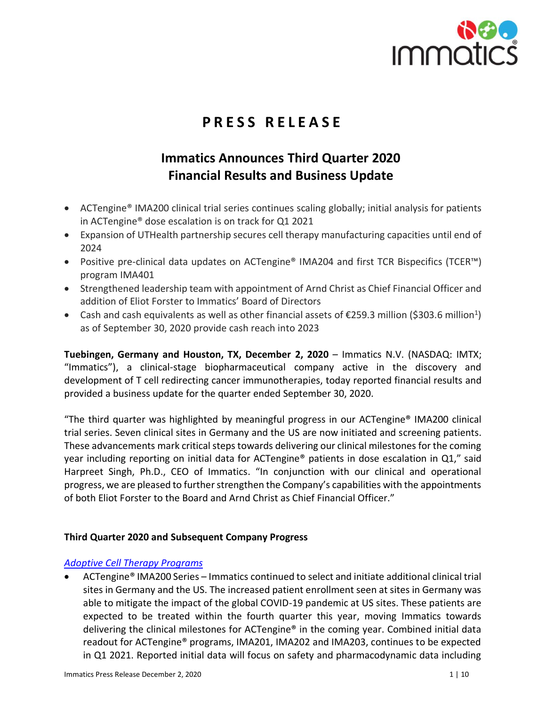

# **P R E S S R E L E A S E**

# **Immatics Announces Third Quarter 2020 Financial Results and Business Update**

- ACTengine® IMA200 clinical trial series continues scaling globally; initial analysis for patients in ACTengine® dose escalation is on track for Q1 2021
- Expansion of UTHealth partnership secures cell therapy manufacturing capacities until end of 2024
- Positive pre-clinical data updates on ACTengine® IMA204 and first TCR Bispecifics (TCER™) program IMA401
- Strengthened leadership team with appointment of Arnd Christ as Chief Financial Officer and addition of Eliot Forster to Immatics' Board of Directors
- Cash and cash equivalents as well as other financial assets of €259.3 million (\$303.6 million<sup>1</sup>) as of September 30, 2020 provide cash reach into 2023

**Tuebingen, Germany and Houston, TX, December 2, 2020** – Immatics N.V. (NASDAQ: IMTX; "Immatics"), a clinical-stage biopharmaceutical company active in the discovery and development of T cell redirecting cancer immunotherapies, today reported financial results and provided a business update for the quarter ended September 30, 2020.

"The third quarter was highlighted by meaningful progress in our ACTengine® IMA200 clinical trial series. Seven clinical sites in Germany and the US are now initiated and screening patients. These advancements mark critical steps towards delivering our clinical milestones for the coming year including reporting on initial data for ACTengine® patients in dose escalation in Q1," said Harpreet Singh, Ph.D., CEO of Immatics. "In conjunction with our clinical and operational progress, we are pleased to further strengthen the Company's capabilities with the appointments of both Eliot Forster to the Board and Arnd Christ as Chief Financial Officer."

# **Third Quarter 2020 and Subsequent Company Progress**

# *[Adoptive Cell Therapy Programs](https://immatics.com/adoptive-cell-therapies/)*

• ACTengine® IMA200 Series – Immatics continued to select and initiate additional clinical trial sites in Germany and the US. The increased patient enrollment seen at sites in Germany was able to mitigate the impact of the global COVID-19 pandemic at US sites. These patients are expected to be treated within the fourth quarter this year, moving Immatics towards delivering the clinical milestones for ACTengine® in the coming year. Combined initial data readout for ACTengine® programs, IMA201, IMA202 and IMA203, continues to be expected in Q1 2021. Reported initial data will focus on safety and pharmacodynamic data including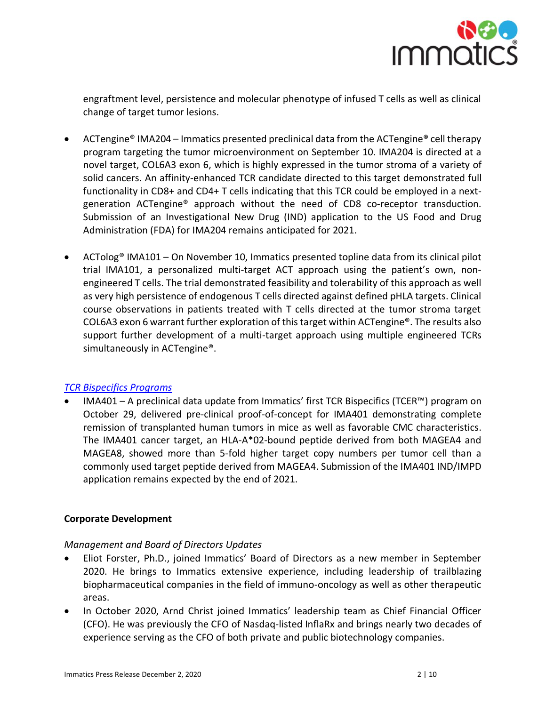

engraftment level, persistence and molecular phenotype of infused T cells as well as clinical change of target tumor lesions.

- ACTengine® IMA204 Immatics presented preclinical data from the ACTengine® cell therapy program targeting the tumor microenvironment on September 10. IMA204 is directed at a novel target, COL6A3 exon 6, which is highly expressed in the tumor stroma of a variety of solid cancers. An affinity-enhanced TCR candidate directed to this target demonstrated full functionality in CD8+ and CD4+ T cells indicating that this TCR could be employed in a nextgeneration ACTengine® approach without the need of CD8 co-receptor transduction. Submission of an Investigational New Drug (IND) application to the US Food and Drug Administration (FDA) for IMA204 remains anticipated for 2021.
- ACTolog<sup>®</sup> IMA101 On November 10, Immatics presented topline data from its clinical pilot trial IMA101, a personalized multi-target ACT approach using the patient's own, nonengineered T cells. The trial demonstrated feasibility and tolerability of this approach as well as very high persistence of endogenous T cells directed against defined pHLA targets. Clinical course observations in patients treated with T cells directed at the tumor stroma target COL6A3 exon 6 warrant further exploration of this target within ACTengine®. The results also support further development of a multi-target approach using multiple engineered TCRs simultaneously in ACTengine®.

# *[TCR Bispecifics Programs](https://immatics.com/tcr-bispecifics/)*

• IMA401 – A preclinical data update from Immatics' first TCR Bispecifics (TCER™) program on October 29, delivered pre-clinical proof-of-concept for IMA401 demonstrating complete remission of transplanted human tumors in mice as well as favorable CMC characteristics. The IMA401 cancer target, an HLA-A\*02-bound peptide derived from both MAGEA4 and MAGEA8, showed more than 5-fold higher target copy numbers per tumor cell than a commonly used target peptide derived from MAGEA4. Submission of the IMA401 IND/IMPD application remains expected by the end of 2021.

# **Corporate Development**

# *Management and Board of Directors Updates*

- Eliot Forster, Ph.D., joined Immatics' Board of Directors as a new member in September 2020. He brings to Immatics extensive experience, including leadership of trailblazing biopharmaceutical companies in the field of immuno-oncology as well as other therapeutic areas.
- In October 2020, Arnd Christ joined Immatics' leadership team as Chief Financial Officer (CFO). He was previously the CFO of Nasdaq-listed InflaRx and brings nearly two decades of experience serving as the CFO of both private and public biotechnology companies.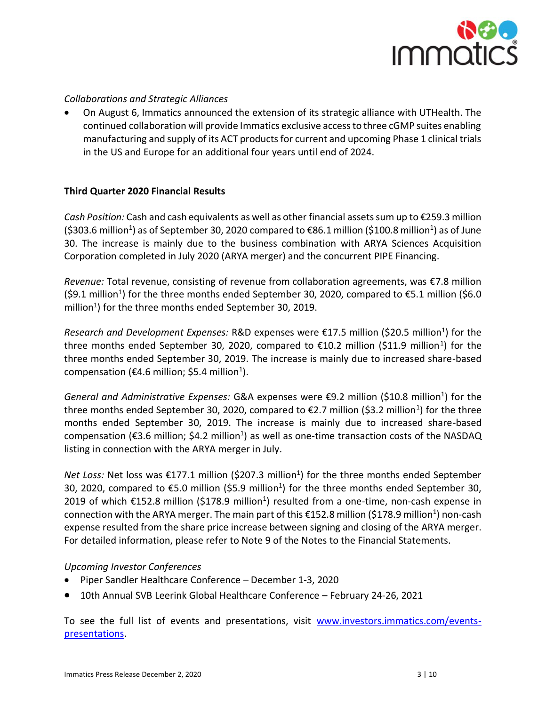

# *Collaborations and Strategic Alliances*

• On August 6, Immatics announced the extension of its strategic alliance with UTHealth. The continued collaboration will provide Immatics exclusive access to three cGMP suites enabling manufacturing and supply of its ACT products for current and upcoming Phase 1 clinical trials in the US and Europe for an additional four years until end of 2024.

# **Third Quarter 2020 Financial Results**

*Cash Position:* Cash and cash equivalents as well as other financial assets sum up to €259.3 million (\$303.6 million<sup>1</sup>) as of September 30, 2020 compared to €86.1 million (\$100.8 million<sup>1</sup>) as of June 30. The increase is mainly due to the business combination with ARYA Sciences Acquisition Corporation completed in July 2020 (ARYA merger) and the concurrent PIPE Financing.

*Revenue:* Total revenue, consisting of revenue from collaboration agreements, was €7.8 million (\$9.1 million<sup>1</sup>) for the three months ended September 30, 2020, compared to  $\epsilon$ 5.1 million (\$6.0 million $^{1}$ ) for the three months ended September 30, 2019.

Research and Development Expenses: R&D expenses were €17.5 million (\$20.5 million<sup>1</sup>) for the three months ended September 30, 2020, compared to  $\epsilon$ 10.2 million (\$11.9 million<sup>1</sup>) for the three months ended September 30, 2019. The increase is mainly due to increased share-based compensation (€4.6 million; \$5.4 million<sup>1</sup>).

General and Administrative Expenses: G&A expenses were €9.2 million (\$10.8 million<sup>1</sup>) for the three months ended September 30, 2020, compared to €2.7 million (\$3.2 million<sup>1</sup>) for the three months ended September 30, 2019. The increase is mainly due to increased share-based compensation (€3.6 million; \$4.2 million<sup>1</sup>) as well as one-time transaction costs of the NASDAQ listing in connection with the ARYA merger in July.

Net Loss: Net loss was €177.1 million (\$207.3 million<sup>1</sup>) for the three months ended September 30, 2020, compared to €5.0 million (\$5.9 million<sup>1</sup>) for the three months ended September 30, 2019 of which €152.8 million (\$178.9 million<sup>1</sup>) resulted from a one-time, non-cash expense in connection with the ARYA merger. The main part of this €152.8 million (\$178.9 million<sup>1</sup>) non-cash expense resulted from the share price increase between signing and closing of the ARYA merger. For detailed information, please refer to Note 9 of the Notes to the Financial Statements.

# *Upcoming Investor Conferences*

- Piper Sandler Healthcare Conference December 1-3, 2020
- 10th Annual SVB Leerink Global Healthcare Conference February 24-26, 2021

To see the full list of events and presentations, visit [www.investors.immatics.com/events](http://www.investors.immatics.com/events-presentations)[presentations.](http://www.investors.immatics.com/events-presentations)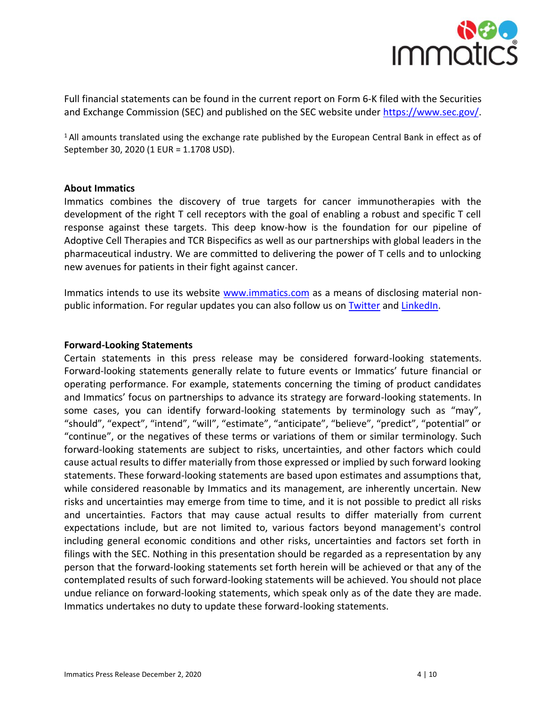

Full financial statements can be found in the current report on Form 6-K filed with the Securities and Exchange Commission (SEC) and published on the SEC website under [https://www.sec.gov/.](https://www.sec.gov/)

<sup>1</sup> All amounts translated using the exchange rate published by the European Central Bank in effect as of September 30, 2020 (1 EUR = 1.1708 USD).

#### **About Immatics**

Immatics combines the discovery of true targets for cancer immunotherapies with the development of the right T cell receptors with the goal of enabling a robust and specific T cell response against these targets. This deep know-how is the foundation for our pipeline of Adoptive Cell Therapies and TCR Bispecifics as well as our partnerships with global leaders in the pharmaceutical industry. We are committed to delivering the power of T cells and to unlocking new avenues for patients in their fight against cancer.

Immatics intends to use its website [www.immatics.com](http://www.immatics.com/) as a means of disclosing material nonpublic information. For regular updates you can also follow us on [Twitter](https://twitter.com/immatics) and [LinkedIn.](https://www.linkedin.com/company/immatics-biotechnologies/)

#### **Forward-Looking Statements**

Certain statements in this press release may be considered forward-looking statements. Forward-looking statements generally relate to future events or Immatics' future financial or operating performance. For example, statements concerning the timing of product candidates and Immatics' focus on partnerships to advance its strategy are forward-looking statements. In some cases, you can identify forward-looking statements by terminology such as "may", "should", "expect", "intend", "will", "estimate", "anticipate", "believe", "predict", "potential" or "continue", or the negatives of these terms or variations of them or similar terminology. Such forward-looking statements are subject to risks, uncertainties, and other factors which could cause actual results to differ materially from those expressed or implied by such forward looking statements. These forward-looking statements are based upon estimates and assumptions that, while considered reasonable by Immatics and its management, are inherently uncertain. New risks and uncertainties may emerge from time to time, and it is not possible to predict all risks and uncertainties. Factors that may cause actual results to differ materially from current expectations include, but are not limited to, various factors beyond management's control including general economic conditions and other risks, uncertainties and factors set forth in filings with the SEC. Nothing in this presentation should be regarded as a representation by any person that the forward-looking statements set forth herein will be achieved or that any of the contemplated results of such forward-looking statements will be achieved. You should not place undue reliance on forward-looking statements, which speak only as of the date they are made. Immatics undertakes no duty to update these forward-looking statements.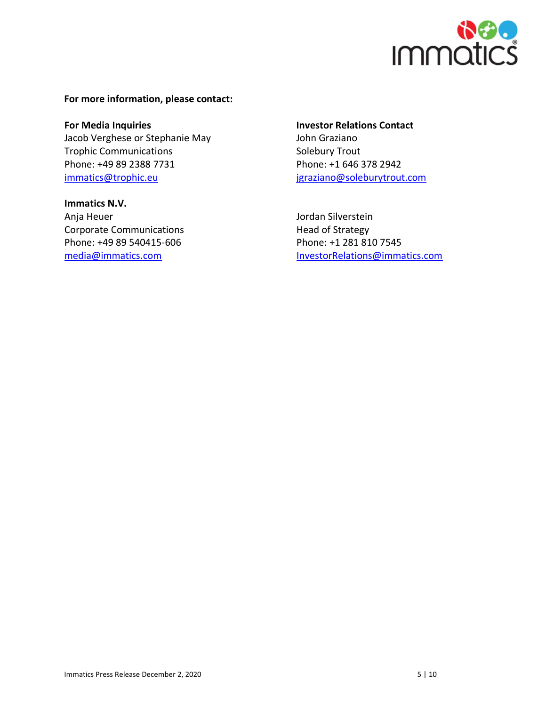

### **For more information, please contact:**

**For Media Inquiries Investor Relations Contact** Jacob Verghese or Stephanie May **John Graziano** Trophic Communications Solebury Trout Phone: +49 89 2388 7731 Phone: +1 646 378 2942 [immatics@trophic.eu](mailto:immatics@trophic.eu) immatics@trophic.eu interesses igraziano@soleburytrout.com

**Immatics N.V.** Anja Heuer **Anja Heuer** Jordan Silverstein Corporate Communications The Corporate Communications and American Head of Strategy Phone: +49 89 540415-606 Phone: +1 281 810 7545

[media@immatics.com](mailto:media@immatics.com) investorRelations@immatics.com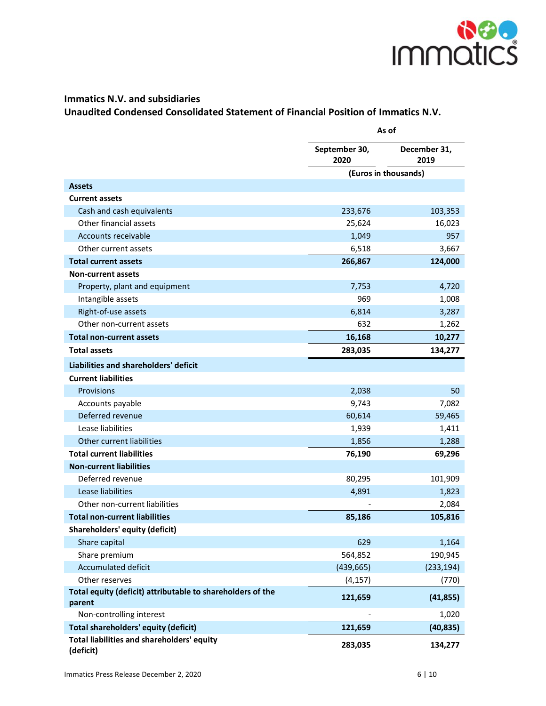

# **Immatics N.V. and subsidiaries Unaudited Condensed Consolidated Statement of Financial Position of Immatics N.V.**

|                                                                      |                       | As of                |  |  |
|----------------------------------------------------------------------|-----------------------|----------------------|--|--|
|                                                                      | September 30,<br>2020 | December 31,<br>2019 |  |  |
|                                                                      |                       | (Euros in thousands) |  |  |
| <b>Assets</b>                                                        |                       |                      |  |  |
| <b>Current assets</b>                                                |                       |                      |  |  |
| Cash and cash equivalents                                            | 233,676               | 103,353              |  |  |
| Other financial assets                                               | 25,624                | 16,023               |  |  |
| Accounts receivable                                                  | 1,049                 | 957                  |  |  |
| Other current assets                                                 | 6,518                 | 3,667                |  |  |
| <b>Total current assets</b>                                          | 266,867               | 124,000              |  |  |
| <b>Non-current assets</b>                                            |                       |                      |  |  |
| Property, plant and equipment                                        | 7,753                 | 4,720                |  |  |
| Intangible assets                                                    | 969                   | 1,008                |  |  |
| Right-of-use assets                                                  | 6,814                 | 3,287                |  |  |
| Other non-current assets                                             | 632                   | 1,262                |  |  |
| <b>Total non-current assets</b>                                      | 16,168                | 10,277               |  |  |
| <b>Total assets</b>                                                  | 283,035               | 134,277              |  |  |
| Liabilities and shareholders' deficit                                |                       |                      |  |  |
| <b>Current liabilities</b>                                           |                       |                      |  |  |
| Provisions                                                           | 2,038                 | 50                   |  |  |
| Accounts payable                                                     | 9,743                 | 7,082                |  |  |
| Deferred revenue                                                     | 60,614                | 59,465               |  |  |
| Lease liabilities                                                    | 1,939                 | 1,411                |  |  |
| Other current liabilities                                            | 1,856                 | 1,288                |  |  |
| <b>Total current liabilities</b>                                     | 76,190                | 69,296               |  |  |
| <b>Non-current liabilities</b>                                       |                       |                      |  |  |
| Deferred revenue                                                     | 80,295                | 101,909              |  |  |
| Lease liabilities                                                    | 4,891                 | 1,823                |  |  |
| Other non-current liabilities                                        |                       | 2,084                |  |  |
| <b>Total non-current liabilities</b>                                 | 85,186                | 105,816              |  |  |
| <b>Shareholders' equity (deficit)</b>                                |                       |                      |  |  |
| Share capital                                                        | 629                   | 1,164                |  |  |
| Share premium                                                        | 564,852               | 190,945              |  |  |
| <b>Accumulated deficit</b>                                           | (439, 665)            | (233, 194)           |  |  |
| Other reserves                                                       | (4, 157)              | (770)                |  |  |
| Total equity (deficit) attributable to shareholders of the<br>parent | 121,659               | (41, 855)            |  |  |
| Non-controlling interest                                             |                       | 1,020                |  |  |
| <b>Total shareholders' equity (deficit)</b>                          | 121,659               | (40, 835)            |  |  |
| Total liabilities and shareholders' equity<br>(deficit)              | 283,035               | 134,277              |  |  |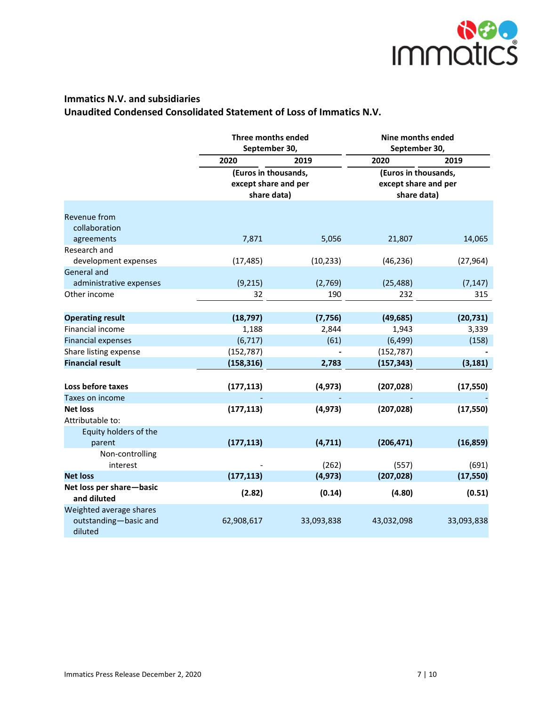

# **Immatics N.V. and subsidiaries Unaudited Condensed Consolidated Statement of Loss of Immatics N.V.**

|                                                             | Three months ended<br>September 30,                         |            | Nine months ended<br>September 30,                          |            |  |
|-------------------------------------------------------------|-------------------------------------------------------------|------------|-------------------------------------------------------------|------------|--|
|                                                             | 2020                                                        | 2019       | 2020                                                        | 2019       |  |
|                                                             | (Euros in thousands,<br>except share and per<br>share data) |            | (Euros in thousands,<br>except share and per<br>share data) |            |  |
| <b>Revenue from</b><br>collaboration                        |                                                             |            |                                                             |            |  |
| agreements                                                  | 7,871                                                       | 5,056      | 21,807                                                      | 14,065     |  |
| Research and<br>development expenses                        | (17, 485)                                                   | (10, 233)  | (46, 236)                                                   | (27, 964)  |  |
| <b>General and</b>                                          |                                                             |            |                                                             |            |  |
| administrative expenses                                     | (9, 215)                                                    | (2,769)    | (25, 488)                                                   | (7, 147)   |  |
| Other income                                                | 32                                                          | 190        | 232                                                         | 315        |  |
| <b>Operating result</b>                                     | (18, 797)                                                   | (7, 756)   | (49, 685)                                                   | (20, 731)  |  |
| Financial income                                            | 1,188                                                       | 2,844      | 1,943                                                       | 3,339      |  |
| <b>Financial expenses</b>                                   | (6, 717)                                                    | (61)       | (6, 499)                                                    | (158)      |  |
| Share listing expense                                       | (152, 787)                                                  |            | (152, 787)                                                  |            |  |
| <b>Financial result</b>                                     | (158, 316)                                                  | 2,783      | (157, 343)                                                  | (3, 181)   |  |
|                                                             |                                                             |            |                                                             |            |  |
| Loss before taxes                                           | (177, 113)                                                  | (4, 973)   | (207, 028)                                                  | (17, 550)  |  |
| Taxes on income                                             |                                                             |            |                                                             |            |  |
| <b>Net loss</b><br>Attributable to:                         | (177, 113)                                                  | (4, 973)   | (207, 028)                                                  | (17, 550)  |  |
| Equity holders of the<br>parent                             | (177, 113)                                                  | (4, 711)   | (206, 471)                                                  | (16, 859)  |  |
| Non-controlling<br>interest                                 |                                                             | (262)      | (557)                                                       | (691)      |  |
| <b>Net loss</b>                                             | (177, 113)                                                  | (4, 973)   | (207, 028)                                                  | (17, 550)  |  |
| Net loss per share-basic<br>and diluted                     | (2.82)                                                      | (0.14)     | (4.80)                                                      | (0.51)     |  |
| Weighted average shares<br>outstanding-basic and<br>diluted | 62,908,617                                                  | 33,093,838 | 43,032,098                                                  | 33,093,838 |  |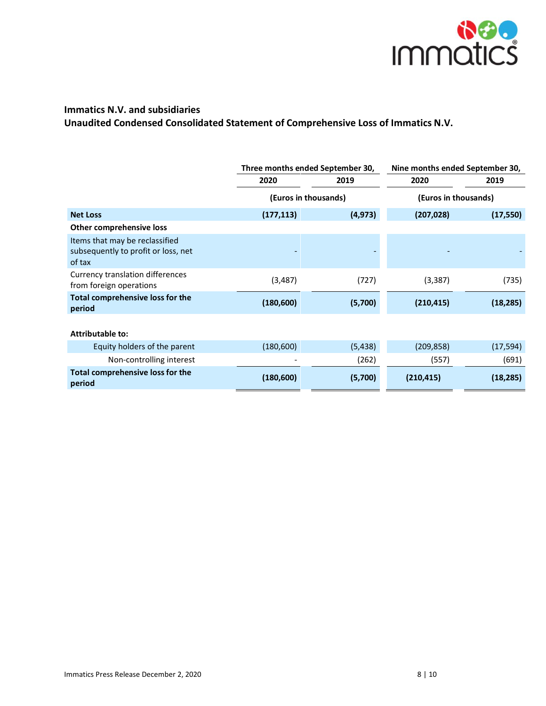

# **Immatics N.V. and subsidiaries Unaudited Condensed Consolidated Statement of Comprehensive Loss of Immatics N.V.**

|                                                                                 |            | Three months ended September 30, | Nine months ended September 30, |           |  |
|---------------------------------------------------------------------------------|------------|----------------------------------|---------------------------------|-----------|--|
|                                                                                 | 2020       | 2019                             | 2020                            | 2019      |  |
|                                                                                 |            | (Euros in thousands)             | (Euros in thousands)            |           |  |
| <b>Net Loss</b>                                                                 | (177, 113) | (4, 973)                         | (207, 028)                      | (17, 550) |  |
| Other comprehensive loss                                                        |            |                                  |                                 |           |  |
| Items that may be reclassified<br>subsequently to profit or loss, net<br>of tax |            |                                  |                                 |           |  |
| Currency translation differences<br>from foreign operations                     | (3, 487)   | (727)                            | (3, 387)                        | (735)     |  |
| Total comprehensive loss for the<br>period                                      | (180, 600) | (5,700)                          | (210, 415)                      | (18, 285) |  |
| Attributable to:                                                                |            |                                  |                                 |           |  |
| Equity holders of the parent                                                    | (180, 600) | (5, 438)                         | (209, 858)                      | (17, 594) |  |
| Non-controlling interest                                                        |            | (262)                            | (557)                           | (691)     |  |
| Total comprehensive loss for the<br>period                                      | (180, 600) | (5,700)                          | (210, 415)                      | (18, 285) |  |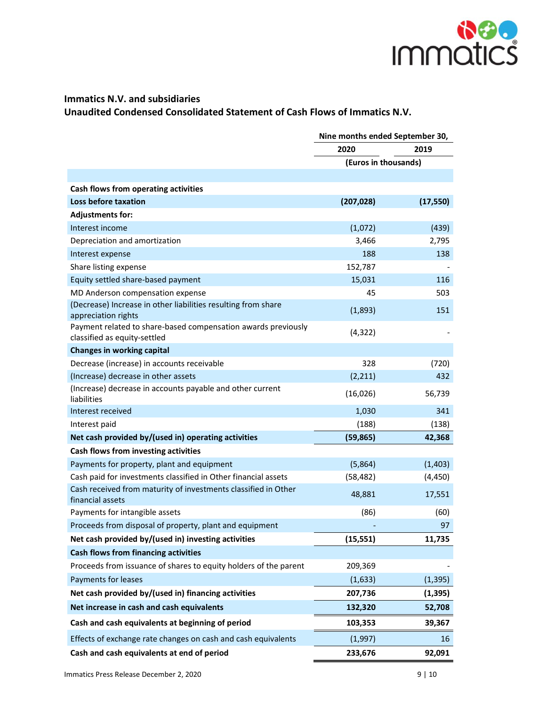

# **Immatics N.V. and subsidiaries Unaudited Condensed Consolidated Statement of Cash Flows of Immatics N.V.**

|                                                                                               | Nine months ended September 30, |           |  |
|-----------------------------------------------------------------------------------------------|---------------------------------|-----------|--|
|                                                                                               | 2020                            | 2019      |  |
|                                                                                               | (Euros in thousands)            |           |  |
|                                                                                               |                                 |           |  |
| Cash flows from operating activities                                                          |                                 |           |  |
| Loss before taxation                                                                          | (207, 028)                      | (17, 550) |  |
| <b>Adjustments for:</b>                                                                       |                                 |           |  |
| Interest income                                                                               | (1,072)                         | (439)     |  |
| Depreciation and amortization                                                                 | 3,466                           | 2,795     |  |
| Interest expense                                                                              | 188                             | 138       |  |
| Share listing expense                                                                         | 152,787                         |           |  |
| Equity settled share-based payment                                                            | 15,031                          | 116       |  |
| MD Anderson compensation expense                                                              | 45                              | 503       |  |
| (Decrease) Increase in other liabilities resulting from share<br>appreciation rights          | (1,893)                         | 151       |  |
| Payment related to share-based compensation awards previously<br>classified as equity-settled | (4, 322)                        |           |  |
| <b>Changes in working capital</b>                                                             |                                 |           |  |
| Decrease (increase) in accounts receivable                                                    | 328                             | (720)     |  |
| (Increase) decrease in other assets                                                           | (2, 211)                        | 432       |  |
| (Increase) decrease in accounts payable and other current<br>liabilities                      | (16,026)                        | 56,739    |  |
| Interest received                                                                             | 1,030                           | 341       |  |
| Interest paid                                                                                 | (188)                           | (138)     |  |
| Net cash provided by/(used in) operating activities                                           | (59, 865)                       | 42,368    |  |
| Cash flows from investing activities                                                          |                                 |           |  |
| Payments for property, plant and equipment                                                    | (5,864)                         | (1,403)   |  |
| Cash paid for investments classified in Other financial assets                                | (58, 482)                       | (4, 450)  |  |
| Cash received from maturity of investments classified in Other<br>financial assets            | 48,881                          | 17,551    |  |
| Payments for intangible assets                                                                | (86)                            | (60)      |  |
| Proceeds from disposal of property, plant and equipment                                       |                                 | 97        |  |
| Net cash provided by/(used in) investing activities                                           | (15, 551)                       | 11,735    |  |
| Cash flows from financing activities                                                          |                                 |           |  |
| Proceeds from issuance of shares to equity holders of the parent                              | 209,369                         |           |  |
| Payments for leases                                                                           | (1,633)                         | (1, 395)  |  |
| Net cash provided by/(used in) financing activities                                           | 207,736                         | (1, 395)  |  |
| Net increase in cash and cash equivalents                                                     | 132,320                         | 52,708    |  |
| Cash and cash equivalents at beginning of period                                              | 103,353                         | 39,367    |  |
| Effects of exchange rate changes on cash and cash equivalents                                 | (1,997)                         | 16        |  |
| Cash and cash equivalents at end of period                                                    | 233,676                         | 92,091    |  |